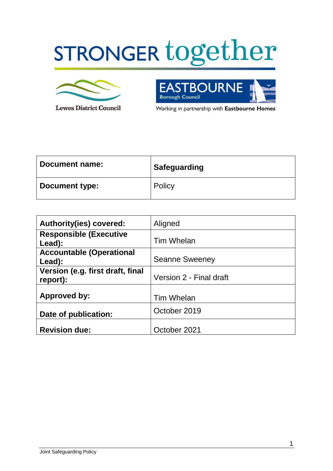# STRONGER together



**Lewes District Council** 

**DURNE** EΑ Έß **Borough Council** 

Working in partnership with Eastbourne Homes

| Document name: | <b>Safeguarding</b> |
|----------------|---------------------|
| Document type: | Policy              |

| <b>Authority(ies) covered:</b>               | Aligned                 |
|----------------------------------------------|-------------------------|
| <b>Responsible (Executive</b><br>Lead):      | Tim Whelan              |
| <b>Accountable (Operational</b><br>Lead):    | <b>Seanne Sweeney</b>   |
| Version (e.g. first draft, final<br>report): | Version 2 - Final draft |
| <b>Approved by:</b>                          | <b>Tim Whelan</b>       |
| Date of publication:                         | October 2019            |
| <b>Revision due:</b>                         | October 2021            |

1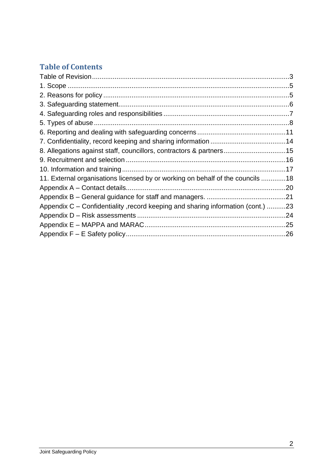# **Table of Contents**

| 8. Allegations against staff, councillors, contractors & partners15             |  |
|---------------------------------------------------------------------------------|--|
|                                                                                 |  |
|                                                                                 |  |
| 11. External organisations licensed by or working on behalf of the councils 18  |  |
|                                                                                 |  |
|                                                                                 |  |
| Appendix C – Confidentiality, record keeping and sharing information (cont.) 23 |  |
|                                                                                 |  |
|                                                                                 |  |
|                                                                                 |  |
|                                                                                 |  |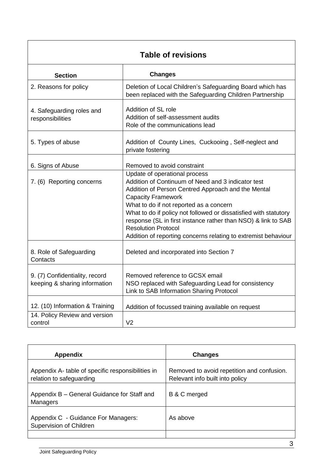| <b>Table of revisions</b>                                                   |                                                                                                                                                                                                                                                                                                                                                                                                                                                        |  |  |  |
|-----------------------------------------------------------------------------|--------------------------------------------------------------------------------------------------------------------------------------------------------------------------------------------------------------------------------------------------------------------------------------------------------------------------------------------------------------------------------------------------------------------------------------------------------|--|--|--|
| <b>Section</b>                                                              | <b>Changes</b>                                                                                                                                                                                                                                                                                                                                                                                                                                         |  |  |  |
| 2. Reasons for policy                                                       | Deletion of Local Children's Safeguarding Board which has<br>been replaced with the Safeguarding Children Partnership                                                                                                                                                                                                                                                                                                                                  |  |  |  |
| 4. Safeguarding roles and<br>responsibilities                               | Addition of SL role<br>Addition of self-assessment audits<br>Role of the communications lead                                                                                                                                                                                                                                                                                                                                                           |  |  |  |
| 5. Types of abuse                                                           | Addition of County Lines, Cuckooing, Self-neglect and<br>private fostering                                                                                                                                                                                                                                                                                                                                                                             |  |  |  |
| 6. Signs of Abuse                                                           | Removed to avoid constraint                                                                                                                                                                                                                                                                                                                                                                                                                            |  |  |  |
| 7. (6) Reporting concerns                                                   | Update of operational process<br>Addition of Continuum of Need and 3 indicator test<br>Addition of Person Centred Approach and the Mental<br><b>Capacity Framework</b><br>What to do if not reported as a concern<br>What to do if policy not followed or dissatisfied with statutory<br>response (SL in first instance rather than NSO) & link to SAB<br><b>Resolution Protocol</b><br>Addition of reporting concerns relating to extremist behaviour |  |  |  |
| 8. Role of Safeguarding<br>Contacts                                         | Deleted and incorporated into Section 7                                                                                                                                                                                                                                                                                                                                                                                                                |  |  |  |
| 9. (7) Confidentiality, record<br>keeping & sharing information             | Removed reference to GCSX email<br>NSO replaced with Safeguarding Lead for consistency<br>Link to SAB Information Sharing Protocol                                                                                                                                                                                                                                                                                                                     |  |  |  |
| 12. (10) Information & Training<br>14. Policy Review and version<br>control | Addition of focussed training available on request<br>V <sub>2</sub>                                                                                                                                                                                                                                                                                                                                                                                   |  |  |  |

| <b>Appendix</b>                                                               | <b>Changes</b>                                                                |
|-------------------------------------------------------------------------------|-------------------------------------------------------------------------------|
| Appendix A- table of specific responsibilities in<br>relation to safeguarding | Removed to avoid repetition and confusion.<br>Relevant info built into policy |
| Appendix B – General Guidance for Staff and<br>Managers                       | B & C merged                                                                  |
| Appendix C - Guidance For Managers:<br>Supervision of Children                | As above                                                                      |
|                                                                               |                                                                               |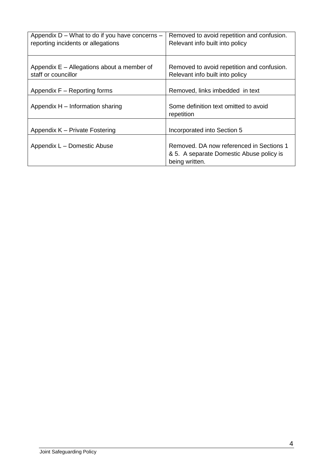| Appendix D - What to do if you have concerns -<br>reporting incidents or allegations | Removed to avoid repetition and confusion.<br>Relevant info built into policy                          |  |
|--------------------------------------------------------------------------------------|--------------------------------------------------------------------------------------------------------|--|
| Appendix E – Allegations about a member of<br>staff or councillor                    | Removed to avoid repetition and confusion.<br>Relevant info built into policy                          |  |
| Appendix F – Reporting forms                                                         | Removed, links imbedded in text                                                                        |  |
| Appendix H - Information sharing                                                     | Some definition text omitted to avoid<br>repetition                                                    |  |
| Appendix K - Private Fostering                                                       | Incorporated into Section 5                                                                            |  |
| Appendix L - Domestic Abuse                                                          | Removed. DA now referenced in Sections 1<br>& 5. A separate Domestic Abuse policy is<br>being written. |  |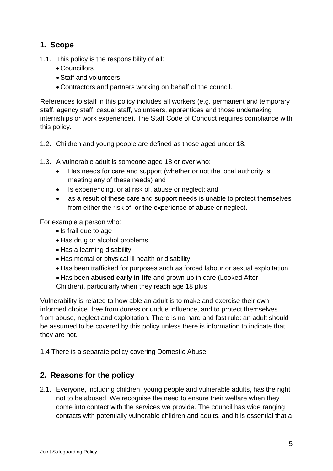## **1. Scope**

- 1.1. This policy is the responsibility of all:
	- Councillors
	- Staff and volunteers
	- Contractors and partners working on behalf of the council.

References to staff in this policy includes all workers (e.g. permanent and temporary staff, agency staff, casual staff, volunteers, apprentices and those undertaking internships or work experience). The Staff Code of Conduct requires compliance with this policy.

- 1.2. Children and young people are defined as those aged under 18.
- 1.3. A vulnerable adult is someone aged 18 or over who:
	- Has needs for care and support (whether or not the local authority is meeting any of these needs) and
	- Is experiencing, or at risk of, abuse or neglect; and
	- as a result of these care and support needs is unable to protect themselves from either the risk of, or the experience of abuse or neglect.

For example a person who:

- Is frail due to age
- Has drug or alcohol problems
- Has a learning disability
- Has mental or physical ill health or disability
- Has been trafficked for purposes such as forced labour or sexual exploitation.
- Has been **abused early in life** and grown up in care (Looked After

Children), particularly when they reach age 18 plus

Vulnerability is related to how able an adult is to make and exercise their own informed choice, free from duress or undue influence, and to protect themselves from abuse, neglect and exploitation. There is no hard and fast rule: an adult should be assumed to be covered by this policy unless there is information to indicate that they are not.

1.4 There is a separate policy covering Domestic Abuse.

## **2. Reasons for the policy**

2.1. Everyone, including children, young people and vulnerable adults, has the right not to be abused. We recognise the need to ensure their welfare when they come into contact with the services we provide. The council has wide ranging contacts with potentially vulnerable children and adults, and it is essential that a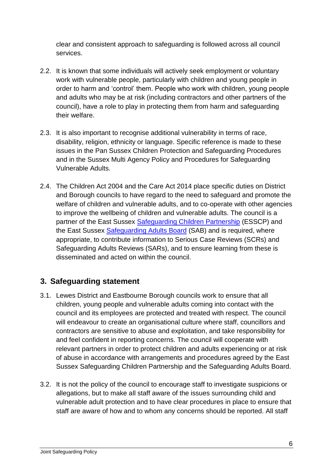clear and consistent approach to safeguarding is followed across all council services.

- 2.2. It is known that some individuals will actively seek employment or voluntary work with vulnerable people, particularly with children and young people in order to harm and 'control' them. People who work with children, young people and adults who may be at risk (including contractors and other partners of the council), have a role to play in protecting them from harm and safeguarding their welfare.
- 2.3. It is also important to recognise additional vulnerability in terms of race, disability, religion, ethnicity or language. Specific reference is made to these issues in the Pan Sussex Children Protection and Safeguarding Procedures and in the Sussex Multi Agency Policy and Procedures for Safeguarding Vulnerable Adults.
- 2.4. The Children Act 2004 and the Care Act 2014 place specific duties on District and Borough councils to have regard to the need to safeguard and promote the welfare of children and vulnerable adults, and to co-operate with other agencies to improve the wellbeing of children and vulnerable adults. The council is a partner of the East Sussex [Safeguarding Children Partnership](https://www.esscp.org.uk/) (ESSCP) and the East Sussex [Safeguarding Adults Board](https://www.eastsussexsab.org.uk/) (SAB) and is required, where appropriate, to contribute information to Serious Case Reviews (SCRs) and Safeguarding Adults Reviews (SARs), and to ensure learning from these is disseminated and acted on within the council.

## **3. Safeguarding statement**

- 3.1. Lewes District and Eastbourne Borough councils work to ensure that all children, young people and vulnerable adults coming into contact with the council and its employees are protected and treated with respect. The council will endeavour to create an organisational culture where staff, councillors and contractors are sensitive to abuse and exploitation, and take responsibility for and feel confident in reporting concerns. The council will cooperate with relevant partners in order to protect children and adults experiencing or at risk of abuse in accordance with arrangements and procedures agreed by the East Sussex Safeguarding Children Partnership and the Safeguarding Adults Board.
- 3.2. It is not the policy of the council to encourage staff to investigate suspicions or allegations, but to make all staff aware of the issues surrounding child and vulnerable adult protection and to have clear procedures in place to ensure that staff are aware of how and to whom any concerns should be reported. All staff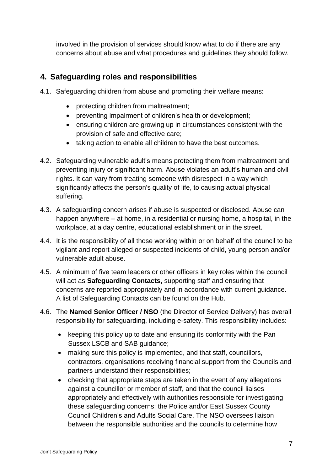involved in the provision of services should know what to do if there are any concerns about abuse and what procedures and guidelines they should follow.

## **4. Safeguarding roles and responsibilities**

- 4.1. Safeguarding children from abuse and promoting their welfare means:
	- protecting children from maltreatment;
	- preventing impairment of children's health or development;
	- ensuring children are growing up in circumstances consistent with the provision of safe and effective care;
	- taking action to enable all children to have the best outcomes.
- 4.2. Safeguarding vulnerable adult's means protecting them from maltreatment and preventing injury or significant harm. Abuse violates an adult's human and civil rights. It can vary from treating someone with disrespect in a way which significantly affects the person's quality of life, to causing actual physical suffering.
- 4.3. A safeguarding concern arises if abuse is suspected or disclosed. Abuse can happen anywhere – at home, in a residential or nursing home, a hospital, in the workplace, at a day centre, educational establishment or in the street.
- 4.4. It is the responsibility of all those working within or on behalf of the council to be vigilant and report alleged or suspected incidents of child, young person and/or vulnerable adult abuse.
- 4.5. A minimum of five team leaders or other officers in key roles within the council will act as **Safeguarding Contacts,** supporting staff and ensuring that concerns are reported appropriately and in accordance with current guidance. A list of Safeguarding Contacts can be found on the Hub.
- 4.6. The **Named Senior Officer / NSO** (the Director of Service Delivery) has overall responsibility for safeguarding, including e-safety. This responsibility includes:
	- keeping this policy up to date and ensuring its conformity with the Pan Sussex LSCB and SAB guidance;
	- making sure this policy is implemented, and that staff, councillors, contractors, organisations receiving financial support from the Councils and partners understand their responsibilities;
	- checking that appropriate steps are taken in the event of any allegations against a councillor or member of staff, and that the council liaises appropriately and effectively with authorities responsible for investigating these safeguarding concerns: the Police and/or East Sussex County Council Children's and Adults Social Care. The NSO oversees liaison between the responsible authorities and the councils to determine how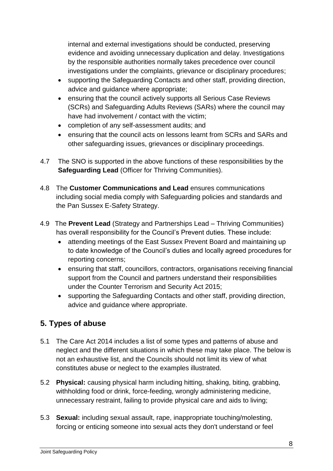internal and external investigations should be conducted, preserving evidence and avoiding unnecessary duplication and delay. Investigations by the responsible authorities normally takes precedence over council investigations under the complaints, grievance or disciplinary procedures;

- supporting the Safeguarding Contacts and other staff, providing direction, advice and guidance where appropriate;
- ensuring that the council actively supports all Serious Case Reviews (SCRs) and Safeguarding Adults Reviews (SARs) where the council may have had involvement / contact with the victim;
- completion of any self-assessment audits; and
- ensuring that the council acts on lessons learnt from SCRs and SARs and other safeguarding issues, grievances or disciplinary proceedings.
- 4.7 The SNO is supported in the above functions of these responsibilities by the **Safeguarding Lead** (Officer for Thriving Communities).
- 4.8 The **Customer Communications and Lead** ensures communications including social media comply with Safeguarding policies and standards and the Pan Sussex E-Safety Strategy.
- 4.9 The **Prevent Lead** (Strategy and Partnerships Lead Thriving Communities) has overall responsibility for the Council's Prevent duties. These include:
	- attending meetings of the East Sussex Prevent Board and maintaining up to date knowledge of the Council's duties and locally agreed procedures for reporting concerns;
	- ensuring that staff, councillors, contractors, organisations receiving financial support from the Council and partners understand their responsibilities under the Counter Terrorism and Security Act 2015;
	- supporting the Safeguarding Contacts and other staff, providing direction, advice and guidance where appropriate.

# **5. Types of abuse**

- 5.1 The Care Act 2014 includes a list of some types and patterns of abuse and neglect and the different situations in which these may take place. The below is not an exhaustive list, and the Councils should not limit its view of what constitutes abuse or neglect to the examples illustrated.
- 5.2 **Physical:** causing physical harm including hitting, shaking, biting, grabbing, withholding food or drink, force-feeding, wrongly administering medicine, unnecessary restraint, failing to provide physical care and aids to living;
- 5.3 **Sexual:** including sexual assault, rape, inappropriate touching/molesting, forcing or enticing someone into sexual acts they don't understand or feel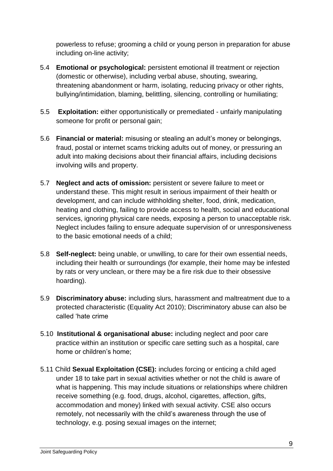powerless to refuse; grooming a child or young person in preparation for abuse including on-line activity;

- 5.4 **Emotional or psychological:** persistent emotional ill treatment or rejection (domestic or otherwise), including verbal abuse, shouting, swearing, threatening abandonment or harm, isolating, reducing privacy or other rights, bullying/intimidation, blaming, belittling, silencing, controlling or humiliating;
- 5.5 **Exploitation:** either opportunistically or premediated unfairly manipulating someone for profit or personal gain;
- 5.6 **Financial or material:** misusing or stealing an adult's money or belongings, fraud, postal or internet scams tricking adults out of money, or pressuring an adult into making decisions about their financial affairs, including decisions involving wills and property.
- 5.7 **Neglect and acts of omission:** persistent or severe failure to meet or understand these. This might result in serious impairment of their health or development, and can include withholding shelter, food, drink, medication, heating and clothing, failing to provide access to health, social and educational services, ignoring physical care needs, exposing a person to unacceptable risk. Neglect includes failing to ensure adequate supervision of or unresponsiveness to the basic emotional needs of a child;
- 5.8 **Self-neglect:** being unable, or unwilling, to care for their own essential needs, including their health or surroundings (for example, their home may be infested by rats or very unclean, or there may be a fire risk due to their obsessive hoarding).
- 5.9 **Discriminatory abuse:** including slurs, harassment and maltreatment due to a protected characteristic (Equality Act 2010); Discriminatory abuse can also be called 'hate crime
- 5.10 **Institutional & organisational abuse:** including neglect and poor care practice within an institution or specific care setting such as a hospital, care home or children's home;
- 5.11 Child **Sexual Exploitation (CSE):** includes forcing or enticing a child aged under 18 to take part in sexual activities whether or not the child is aware of what is happening. This may include situations or relationships where children receive something (e.g. food, drugs, alcohol, cigarettes, affection, gifts, accommodation and money) linked with sexual activity. CSE also occurs remotely, not necessarily with the child's awareness through the use of technology, e.g. posing sexual images on the internet;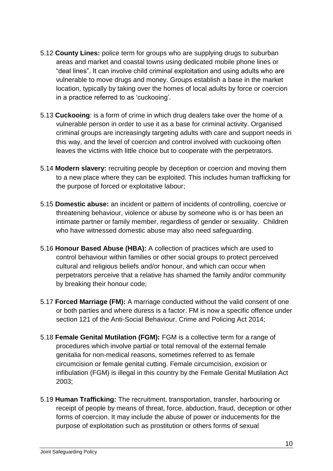- 5.12 **County Lines:** police term for groups who are supplying drugs to suburban areas and market and coastal towns using dedicated mobile phone lines or "deal lines". It can involve child criminal exploitation and using adults who are vulnerable to move drugs and money. Groups establish a base in the market location, typically by taking over the homes of local adults by force or coercion in a practice referred to as 'cuckooing'.
- 5.13 **Cuckooing**: is a form of crime in which drug dealers take over the home of a vulnerable person in order to use it as a base for criminal activity. Organised criminal groups are increasingly targeting adults with care and support needs in this way, and the level of coercion and control involved with cuckooing often leaves the victims with little choice but to cooperate with the perpetrators.
- 5.14 **Modern slavery:** recruiting people by deception or coercion and moving them to a new place where they can be exploited. This includes human trafficking for the purpose of forced or exploitative labour;
- 5.15 **Domestic abuse:** an incident or pattern of incidents of controlling, coercive or threatening behaviour, violence or abuse by someone who is or has been an intimate partner or family member, regardless of gender or sexuality. Children who have witnessed domestic abuse may also need safeguarding.
- 5.16 **Honour Based Abuse (HBA):** A collection of practices which are used to control behaviour within families or other social groups to protect perceived cultural and religious beliefs and/or honour, and which can occur when perpetrators perceive that a relative has shamed the family and/or community by breaking their honour code;
- 5.17 **Forced Marriage (FM):** A marriage conducted without the valid consent of one or both parties and where duress is a factor. FM is now a specific offence under section 121 of the Anti-Social Behaviour, Crime and Policing Act 2014;
- 5.18 **Female Genital Mutilation (FGM):** FGM is a collective term for a range of procedures which involve partial or total removal of the external female genitalia for non-medical reasons, sometimes referred to as female circumcision or female genital cutting. Female circumcision, excision or infibulation (FGM) is illegal in this country by the Female Genital Mutilation Act 2003;
- 5.19 **Human Trafficking:** The recruitment, transportation, transfer, harbouring or receipt of people by means of threat, force, abduction, fraud, deception or other forms of coercion. It may include the abuse of power or inducements for the purpose of exploitation such as prostitution or others forms of sexual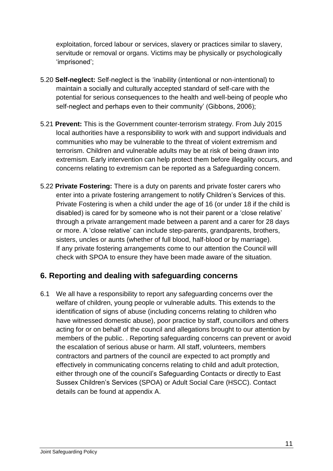exploitation, forced labour or services, slavery or practices similar to slavery, servitude or removal or organs. Victims may be physically or psychologically 'imprisoned';

- 5.20 **Self-neglect:** Self-neglect is the 'inability (intentional or non-intentional) to maintain a socially and culturally accepted standard of self-care with the potential for serious consequences to the health and well-being of people who self-neglect and perhaps even to their community' (Gibbons, 2006);
- 5.21 **Prevent:** This is the Government counter-terrorism strategy. From July 2015 local authorities have a responsibility to work with and support individuals and communities who may be vulnerable to the threat of violent extremism and terrorism. Children and vulnerable adults may be at risk of being drawn into extremism. Early intervention can help protect them before illegality occurs, and concerns relating to extremism can be reported as a Safeguarding concern.
- 5.22 **Private Fostering:** There is a duty on parents and private foster carers who enter into a private fostering arrangement to notify Children's Services of this. Private Fostering is when a child under the age of 16 (or under 18 if the child is disabled) is cared for by someone who is not their parent or a 'close relative' through a private arrangement made between a parent and a carer for 28 days or more. A 'close relative' can include step-parents, grandparents, brothers, sisters, uncles or aunts (whether of full blood, half-blood or by marriage). If any private fostering arrangements come to our attention the Council will check with SPOA to ensure they have been made aware of the situation.

## **6. Reporting and dealing with safeguarding concerns**

6.1 We all have a responsibility to report any safeguarding concerns over the welfare of children, young people or vulnerable adults. This extends to the identification of signs of abuse (including concerns relating to children who have witnessed domestic abuse), poor practice by staff, councillors and others acting for or on behalf of the council and allegations brought to our attention by members of the public. . Reporting safeguarding concerns can prevent or avoid the escalation of serious abuse or harm. All staff, volunteers, members contractors and partners of the council are expected to act promptly and effectively in communicating concerns relating to child and adult protection, either through one of the council's Safeguarding Contacts or directly to East Sussex Children's Services (SPOA) or Adult Social Care (HSCC). Contact details can be found at appendix A.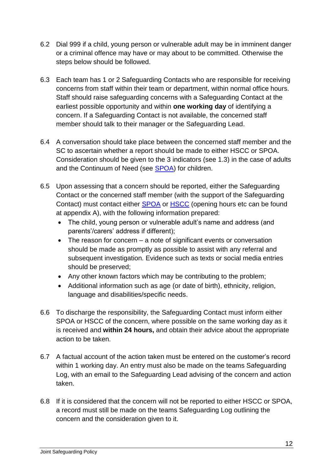- 6.2 Dial 999 if a child, young person or vulnerable adult may be in imminent danger or a criminal offence may have or may about to be committed. Otherwise the steps below should be followed.
- 6.3 Each team has 1 or 2 Safeguarding Contacts who are responsible for receiving concerns from staff within their team or department, within normal office hours. Staff should raise safeguarding concerns with a Safeguarding Contact at the earliest possible opportunity and within **one working day** of identifying a concern. If a Safeguarding Contact is not available, the concerned staff member should talk to their manager or the Safeguarding Lead.
- 6.4 A conversation should take place between the concerned staff member and the SC to ascertain whether a report should be made to either HSCC or SPOA. Consideration should be given to the 3 indicators (see 1.3) in the case of adults and the Continuum of Need (see [SPOA\)](https://www.eastsussex.gov.uk/childrenandfamilies/professional-resources/spoa/) for children.
- 6.5 Upon assessing that a concern should be reported, either the Safeguarding Contact or the concerned staff member (with the support of the Safeguarding Contact) must contact either [SPOA](https://www.eastsussex.gov.uk/childrenandfamilies/professional-resources/spoa/) or [HSCC](https://www.eastsussex.gov.uk/socialcare/getting-help-from-us/contact-adult-social-care/) (opening hours etc can be found at appendix A), with the following information prepared:
	- The child, young person or vulnerable adult's name and address (and parents'/carers' address if different);
	- The reason for concern a note of significant events or conversation should be made as promptly as possible to assist with any referral and subsequent investigation. Evidence such as texts or social media entries should be preserved;
	- Any other known factors which may be contributing to the problem;
	- Additional information such as age (or date of birth), ethnicity, religion, language and disabilities/specific needs.
- 6.6 To discharge the responsibility, the Safeguarding Contact must inform either SPOA or HSCC of the concern, where possible on the same working day as it is received and **within 24 hours,** and obtain their advice about the appropriate action to be taken.
- 6.7 A factual account of the action taken must be entered on the customer's record within 1 working day. An entry must also be made on the teams Safeguarding Log, with an email to the Safeguarding Lead advising of the concern and action taken.
- 6.8 If it is considered that the concern will not be reported to either HSCC or SPOA, a record must still be made on the teams Safeguarding Log outlining the concern and the consideration given to it.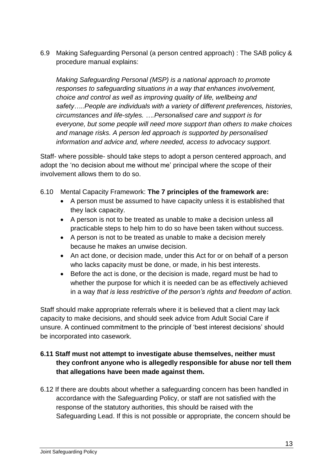6.9 Making Safeguarding Personal (a person centred approach) : The SAB policy & procedure manual explains:

*Making Safeguarding Personal (MSP) is a national approach to promote responses to safeguarding situations in a way that enhances involvement, choice and control as well as improving quality of life, wellbeing and safety…..People are individuals with a variety of different preferences, histories, circumstances and life-styles. ….Personalised care and support is for everyone, but some people will need more support than others to make choices and manage risks. A person led approach is supported by personalised information and advice and, where needed, access to advocacy support.*

Staff- where possible- should take steps to adopt a person centered approach, and adopt the 'no decision about me without me' principal where the scope of their involvement allows them to do so.

- 6.10 Mental Capacity Framework: **The 7 principles of the framework are:**
	- A person must be assumed to have capacity unless it is established that they lack capacity.
	- A person is not to be treated as unable to make a decision unless all practicable steps to help him to do so have been taken without success.
	- A person is not to be treated as unable to make a decision merely because he makes an unwise decision.
	- An act done, or decision made, under this Act for or on behalf of a person who lacks capacity must be done, or made, in his best interests.
	- Before the act is done, or the decision is made, regard must be had to whether the purpose for which it is needed can be as effectively achieved in a way *that is less restrictive of the person's rights and freedom of action.*

Staff should make appropriate referrals where it is believed that a client may lack capacity to make decisions, and should seek advice from Adult Social Care if unsure. A continued commitment to the principle of 'best interest decisions' should be incorporated into casework.

#### **6.11 Staff must not attempt to investigate abuse themselves, neither must they confront anyone who is allegedly responsible for abuse nor tell them that allegations have been made against them.**

6.12 If there are doubts about whether a safeguarding concern has been handled in accordance with the Safeguarding Policy, or staff are not satisfied with the response of the statutory authorities, this should be raised with the Safeguarding Lead. If this is not possible or appropriate, the concern should be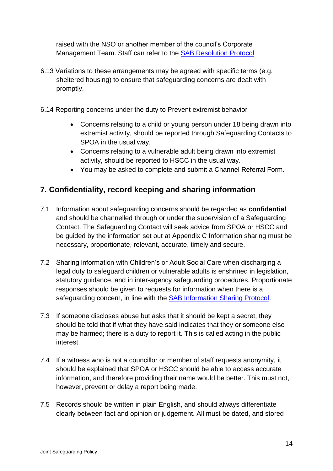raised with the NSO or another member of the council's Corporate Management Team. Staff can refer to the [SAB Resolution Protocol](https://www.eastsussexsab.org.uk/wp-content/uploads/2017/10/East-Sussex-SAB-Resolution-Protocol-2017-v3.pdf)

- 6.13 Variations to these arrangements may be agreed with specific terms (e.g. sheltered housing) to ensure that safeguarding concerns are dealt with promptly.
- 6.14 Reporting concerns under the duty to Prevent extremist behavior
	- Concerns relating to a child or young person under 18 being drawn into extremist activity, should be reported through Safeguarding Contacts to SPOA in the usual way.
	- Concerns relating to a vulnerable adult being drawn into extremist activity, should be reported to HSCC in the usual way.
	- You may be asked to complete and submit a Channel Referral Form.

## **7. Confidentiality, record keeping and sharing information**

- 7.1 Information about safeguarding concerns should be regarded as **confidential** and should be channelled through or under the supervision of a Safeguarding Contact. The Safeguarding Contact will seek advice from SPOA or HSCC and be guided by the information set out at Appendix C Information sharing must be necessary, proportionate, relevant, accurate, timely and secure.
- 7.2 Sharing information with Children's or Adult Social Care when discharging a legal duty to safeguard children or vulnerable adults is enshrined in legislation, statutory guidance, and in inter-agency safeguarding procedures. Proportionate responses should be given to requests for information when there is a safeguarding concern, in line with the [SAB Information Sharing Protocol.](https://www.eastsussexsab.org.uk/information-resources/safeguarding-adults-board-information-sharing-protocol/)
- 7.3 If someone discloses abuse but asks that it should be kept a secret, they should be told that if what they have said indicates that they or someone else may be harmed; there is a duty to report it. This is called acting in the public interest.
- 7.4 If a witness who is not a councillor or member of staff requests anonymity, it should be explained that SPOA or HSCC should be able to access accurate information, and therefore providing their name would be better. This must not, however, prevent or delay a report being made.
- 7.5 Records should be written in plain English, and should always differentiate clearly between fact and opinion or judgement. All must be dated, and stored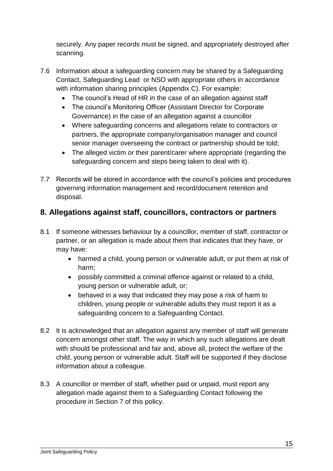securely. Any paper records must be signed, and appropriately destroyed after scanning.

- 7.6 Information about a safeguarding concern may be shared by a Safeguarding Contact, Safeguarding Lead or NSO with appropriate others in accordance with information sharing principles (Appendix C). For example:
	- The council's Head of HR in the case of an allegation against staff
	- The council's Monitoring Officer (Assistant Director for Corporate Governance) in the case of an allegation against a councillor
	- Where safeguarding concerns and allegations relate to contractors or partners, the appropriate company/organisation manager and council senior manager overseeing the contract or partnership should be told;
	- The alleged victim or their parent/carer where appropriate (regarding the safeguarding concern and steps being taken to deal with it).
- 7.7 Records will be stored in accordance with the council's policies and procedures governing information management and record/document retention and disposal.

# **8. Allegations against staff, councillors, contractors or partners**

- 8.1 If someone witnesses behaviour by a councillor, member of staff, contractor or partner, or an allegation is made about them that indicates that they have, or may have:
	- harmed a child, young person or vulnerable adult, or put them at risk of harm;
	- possibly committed a criminal offence against or related to a child, young person or vulnerable adult, or;
	- behaved in a way that indicated they may pose a risk of harm to children, young people or vulnerable adults they must report it as a safeguarding concern to a Safeguarding Contact.
- 8.2 It is acknowledged that an allegation against any member of staff will generate concern amongst other staff. The way in which any such allegations are dealt with should be professional and fair and, above all, protect the welfare of the child, young person or vulnerable adult. Staff will be supported if they disclose information about a colleague.
- 8.3 A councillor or member of staff, whether paid or unpaid, must report any allegation made against them to a Safeguarding Contact following the procedure in Section 7 of this policy.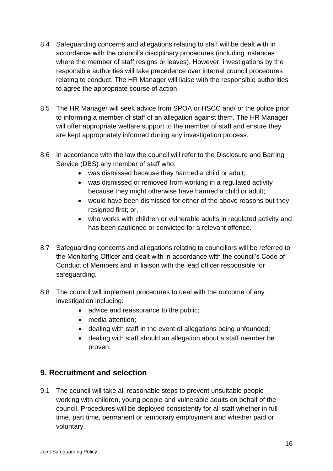- 8.4 Safeguarding concerns and allegations relating to staff will be dealt with in accordance with the council's disciplinary procedures (including instances where the member of staff resigns or leaves). However, investigations by the responsible authorities will take precedence over internal council procedures relating to conduct. The HR Manager will liaise with the responsible authorities to agree the appropriate course of action.
- 8.5 The HR Manager will seek advice from SPOA or HSCC and/ or the police prior to informing a member of staff of an allegation against them. The HR Manager will offer appropriate welfare support to the member of staff and ensure they are kept appropriately informed during any investigation process.
- 8.6 In accordance with the law the council will refer to the Disclosure and Barring Service (DBS) any member of staff who:
	- was dismissed because they harmed a child or adult;
	- was dismissed or removed from working in a regulated activity because they might otherwise have harmed a child or adult;
	- would have been dismissed for either of the above reasons but they resigned first; or,
	- who works with children or vulnerable adults in regulated activity and has been cautioned or convicted for a relevant offence.
- 8.7 Safeguarding concerns and allegations relating to councillors will be referred to the Monitoring Officer and dealt with in accordance with the council's Code of Conduct of Members and in liaison with the lead officer responsible for safeguarding.
- 8.8 The council will implement procedures to deal with the outcome of any investigation including:
	- advice and reassurance to the public;
	- media attention:
	- dealing with staff in the event of allegations being unfounded;
	- dealing with staff should an allegation about a staff member be proven.

## **9. Recruitment and selection**

9.1 The council will take all reasonable steps to prevent unsuitable people working with children, young people and vulnerable adults on behalf of the council. Procedures will be deployed consistently for all staff whether in full time, part time, permanent or temporary employment and whether paid or voluntary.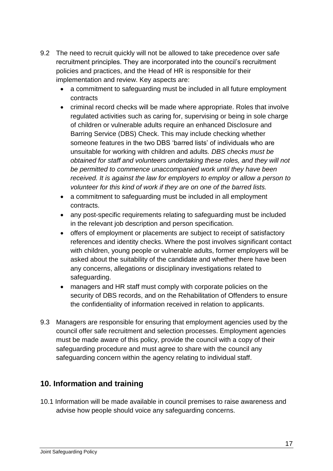- 9.2 The need to recruit quickly will not be allowed to take precedence over safe recruitment principles. They are incorporated into the council's recruitment policies and practices, and the Head of HR is responsible for their implementation and review. Key aspects are:
	- a commitment to safeguarding must be included in all future employment contracts
	- criminal record checks will be made where appropriate. Roles that involve regulated activities such as caring for, supervising or being in sole charge of children or vulnerable adults require an enhanced Disclosure and Barring Service (DBS) Check. This may include checking whether someone features in the two DBS 'barred lists' of individuals who are unsuitable for working with children and adults*. DBS checks must be obtained for staff and volunteers undertaking these roles, and they will not be permitted to commence unaccompanied work until they have been received. It is against the law for employers to employ or allow a person to volunteer for this kind of work if they are on one of the barred lists.*
	- a commitment to safeguarding must be included in all employment contracts.
	- any post-specific requirements relating to safeguarding must be included in the relevant job description and person specification.
	- offers of employment or placements are subject to receipt of satisfactory references and identity checks. Where the post involves significant contact with children, young people or vulnerable adults, former employers will be asked about the suitability of the candidate and whether there have been any concerns, allegations or disciplinary investigations related to safeguarding.
	- managers and HR staff must comply with corporate policies on the security of DBS records, and on the Rehabilitation of Offenders to ensure the confidentiality of information received in relation to applicants.
- 9.3 Managers are responsible for ensuring that employment agencies used by the council offer safe recruitment and selection processes. Employment agencies must be made aware of this policy, provide the council with a copy of their safeguarding procedure and must agree to share with the council any safeguarding concern within the agency relating to individual staff.

## **10. Information and training**

10.1 Information will be made available in council premises to raise awareness and advise how people should voice any safeguarding concerns.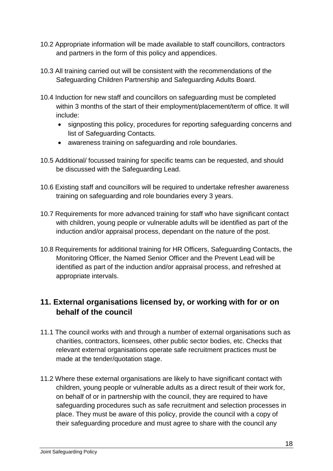- 10.2 Appropriate information will be made available to staff councillors, contractors and partners in the form of this policy and appendices.
- 10.3 All training carried out will be consistent with the recommendations of the Safeguarding Children Partnership and Safeguarding Adults Board.
- 10.4 Induction for new staff and councillors on safeguarding must be completed within 3 months of the start of their employment/placement/term of office. It will include:
	- signposting this policy, procedures for reporting safeguarding concerns and list of Safeguarding Contacts.
	- awareness training on safeguarding and role boundaries.
- 10.5 Additional/ focussed training for specific teams can be requested, and should be discussed with the Safeguarding Lead.
- 10.6 Existing staff and councillors will be required to undertake refresher awareness training on safeguarding and role boundaries every 3 years.
- 10.7 Requirements for more advanced training for staff who have significant contact with children, young people or vulnerable adults will be identified as part of the induction and/or appraisal process, dependant on the nature of the post.
- 10.8 Requirements for additional training for HR Officers, Safeguarding Contacts, the Monitoring Officer, the Named Senior Officer and the Prevent Lead will be identified as part of the induction and/or appraisal process, and refreshed at appropriate intervals.

## **11. External organisations licensed by, or working with for or on behalf of the council**

- 11.1 The council works with and through a number of external organisations such as charities, contractors, licensees, other public sector bodies, etc. Checks that relevant external organisations operate safe recruitment practices must be made at the tender/quotation stage.
- 11.2 Where these external organisations are likely to have significant contact with children, young people or vulnerable adults as a direct result of their work for, on behalf of or in partnership with the council, they are required to have safeguarding procedures such as safe recruitment and selection processes in place. They must be aware of this policy, provide the council with a copy of their safeguarding procedure and must agree to share with the council any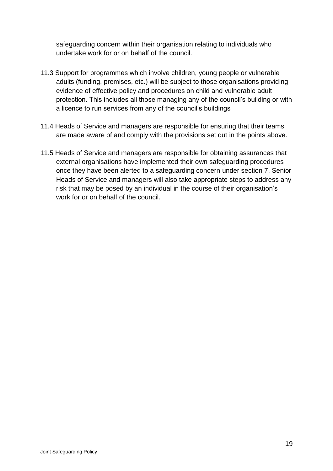safeguarding concern within their organisation relating to individuals who undertake work for or on behalf of the council.

- 11.3 Support for programmes which involve children, young people or vulnerable adults (funding, premises, etc.) will be subject to those organisations providing evidence of effective policy and procedures on child and vulnerable adult protection. This includes all those managing any of the council's building or with a licence to run services from any of the council's buildings
- 11.4 Heads of Service and managers are responsible for ensuring that their teams are made aware of and comply with the provisions set out in the points above.
- 11.5 Heads of Service and managers are responsible for obtaining assurances that external organisations have implemented their own safeguarding procedures once they have been alerted to a safeguarding concern under section 7. Senior Heads of Service and managers will also take appropriate steps to address any risk that may be posed by an individual in the course of their organisation's work for or on behalf of the council.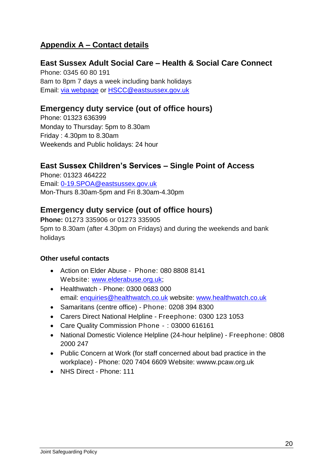## **Appendix A – Contact details**

#### **East Sussex Adult Social Care – Health & Social Care Connect**  Phone: 0345 60 80 191 8am to 8pm 7 days a week including bank holidays

Email: [via webpage](https://apps.eastsussex.gov.uk/contactus/emailus/email.aspx?n=health+and+social+care+connect&e=hscc&d=eastsussex.gov.uk) or [HSCC@eastsussex.gov.uk](mailto:HSCC@eastsussex.gov.uk)

## **Emergency duty service (out of office hours)**

Phone: 01323 636399 Monday to Thursday: 5pm to 8.30am Friday : 4.30pm to 8.30am Weekends and Public holidays: 24 hour

## **East Sussex Children's Services – Single Point of Access**

Phone: 01323 464222 Email: [0-19.SPOA@eastsussex.gov.uk](mailto:0-19.SPOA@eastsussex.gov.uk) Mon-Thurs 8.30am-5pm and Fri 8.30am-4.30pm

## **Emergency duty service (out of office hours)**

**Phone:** 01273 335906 or 01273 335905 5pm to 8.30am (after 4.30pm on Fridays) and during the weekends and bank holidays

#### **Other useful contacts**

- Action on Elder Abuse Phone: 080 8808 8141 Website: [www.elderabuse.org.uk;](http://www.elderabuse.org.uk/)
- Healthwatch Phone: 0300 0683 000 email: [enquiries@healthwatch.co.uk](mailto:enquiries@healthwatch.co.uk) website: [www.healthwatch.co.uk](http://www.healthwatch.co.uk/)
- Samaritans (centre office) Phone: 0208 394 8300
- Carers Direct National Helpline Freephone: 0300 123 1053
- Care Quality Commission Phone -: 03000 616161
- National Domestic Violence Helpline (24-hour helpline) Freephone: 0808 2000 247
- Public Concern at Work (for staff concerned about bad practice in the workplace) - Phone: 020 7404 6609 Website: wwww.pcaw.org.uk
- NHS Direct Phone: 111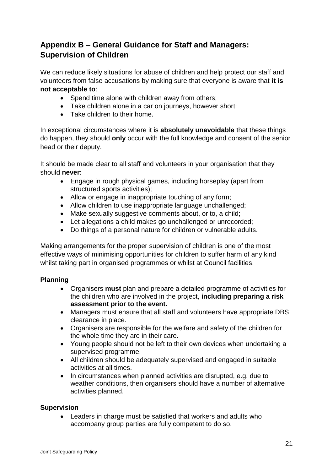# **Appendix B – General Guidance for Staff and Managers: Supervision of Children**

We can reduce likely situations for abuse of children and help protect our staff and volunteers from false accusations by making sure that everyone is aware that **it is not acceptable to**:

- Spend time alone with children away from others:
- Take children alone in a car on journeys, however short;
- Take children to their home.

In exceptional circumstances where it is **absolutely unavoidable** that these things do happen, they should **only** occur with the full knowledge and consent of the senior head or their deputy.

It should be made clear to all staff and volunteers in your organisation that they should **never**:

- Engage in rough physical games, including horseplay (apart from structured sports activities);
- Allow or engage in inappropriate touching of any form;
- Allow children to use inappropriate language unchallenged;
- Make sexually suggestive comments about, or to, a child;
- Let allegations a child makes go unchallenged or unrecorded;
- Do things of a personal nature for children or vulnerable adults.

Making arrangements for the proper supervision of children is one of the most effective ways of minimising opportunities for children to suffer harm of any kind whilst taking part in organised programmes or whilst at Council facilities.

#### **Planning**

- Organisers **must** plan and prepare a detailed programme of activities for the children who are involved in the project, **including preparing a risk assessment prior to the event.**
- Managers must ensure that all staff and volunteers have appropriate DBS clearance in place.
- Organisers are responsible for the welfare and safety of the children for the whole time they are in their care.
- Young people should not be left to their own devices when undertaking a supervised programme.
- All children should be adequately supervised and engaged in suitable activities at all times.
- In circumstances when planned activities are disrupted, e.g. due to weather conditions, then organisers should have a number of alternative activities planned.

#### **Supervision**

 Leaders in charge must be satisfied that workers and adults who accompany group parties are fully competent to do so.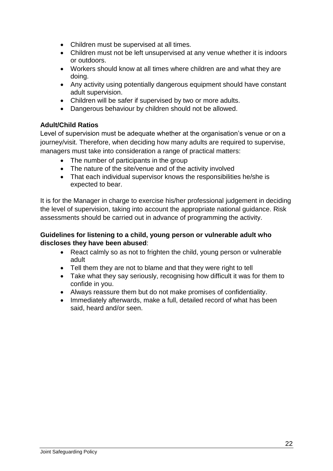- Children must be supervised at all times.
- Children must not be left unsupervised at any venue whether it is indoors or outdoors.
- Workers should know at all times where children are and what they are doing.
- Any activity using potentially dangerous equipment should have constant adult supervision.
- Children will be safer if supervised by two or more adults.
- Dangerous behaviour by children should not be allowed.

#### **Adult/Child Ratios**

Level of supervision must be adequate whether at the organisation's venue or on a journey/visit. Therefore, when deciding how many adults are required to supervise, managers must take into consideration a range of practical matters:

- The number of participants in the group
- The nature of the site/venue and of the activity involved
- That each individual supervisor knows the responsibilities he/she is expected to bear.

It is for the Manager in charge to exercise his/her professional judgement in deciding the level of supervision, taking into account the appropriate national guidance. Risk assessments should be carried out in advance of programming the activity.

#### **Guidelines for listening to a child, young person or vulnerable adult who discloses they have been abused**:

- React calmly so as not to frighten the child, young person or vulnerable adult
- Tell them they are not to blame and that they were right to tell
- Take what they say seriously, recognising how difficult it was for them to confide in you.
- Always reassure them but do not make promises of confidentiality.
- Immediately afterwards, make a full, detailed record of what has been said, heard and/or seen.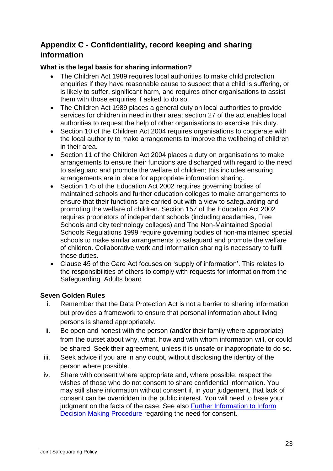# **Appendix C - Confidentiality, record keeping and sharing information**

#### **What is the legal basis for sharing information?**

- The Children Act 1989 requires local authorities to make child protection enquiries if they have reasonable cause to suspect that a child is suffering, or is likely to suffer, significant harm, and requires other organisations to assist them with those enquiries if asked to do so.
- The Children Act 1989 places a general duty on local authorities to provide services for children in need in their area; section 27 of the act enables local authorities to request the help of other organisations to exercise this duty.
- Section 10 of the Children Act 2004 requires organisations to cooperate with the local authority to make arrangements to improve the wellbeing of children in their area.
- Section 11 of the Children Act 2004 places a duty on organisations to make arrangements to ensure their functions are discharged with regard to the need to safeguard and promote the welfare of children; this includes ensuring arrangements are in place for appropriate information sharing.
- Section 175 of the Education Act 2002 requires governing bodies of maintained schools and further education colleges to make arrangements to ensure that their functions are carried out with a view to safeguarding and promoting the welfare of children. Section 157 of the Education Act 2002 requires proprietors of independent schools (including academies, Free Schools and city technology colleges) and The Non-Maintained Special Schools Regulations 1999 require governing bodies of non-maintained special schools to make similar arrangements to safeguard and promote the welfare of children. Collaborative work and information sharing is necessary to fulfil these duties.
- Clause 45 of the Care Act focuses on 'supply of information'. This relates to the responsibilities of others to comply with requests for information from the Safeguarding Adults board

#### **Seven Golden Rules**

- i. Remember that the Data Protection Act is not a barrier to sharing information but provides a framework to ensure that personal information about living persons is shared appropriately.
- ii. Be open and honest with the person (and/or their family where appropriate) from the outset about why, what, how and with whom information will, or could be shared. Seek their agreement, unless it is unsafe or inappropriate to do so.
- iii. Seek advice if you are in any doubt, without disclosing the identity of the person where possible.
- iv. Share with consent where appropriate and, where possible, respect the wishes of those who do not consent to share confidential information. You may still share information without consent if, in your judgement, that lack of consent can be overridden in the public interest. You will need to base your judgment on the facts of the case. See also [Further Information to Inform](https://www.managers.org.uk/knowledge-bank/decision-making)  [Decision Making Procedure](https://www.managers.org.uk/knowledge-bank/decision-making) regarding the need for consent.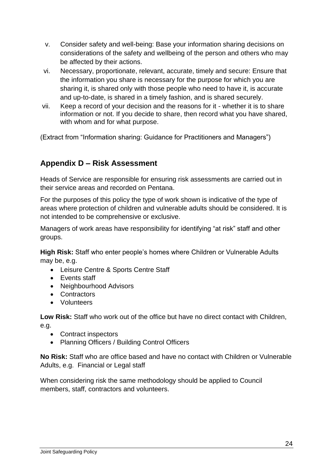- v. Consider safety and well-being: Base your information sharing decisions on considerations of the safety and wellbeing of the person and others who may be affected by their actions.
- vi. Necessary, proportionate, relevant, accurate, timely and secure: Ensure that the information you share is necessary for the purpose for which you are sharing it, is shared only with those people who need to have it, is accurate and up-to-date, is shared in a timely fashion, and is shared securely.
- vii. Keep a record of your decision and the reasons for it whether it is to share information or not. If you decide to share, then record what you have shared, with whom and for what purpose.

(Extract from "Information sharing: Guidance for Practitioners and Managers")

## **Appendix D – Risk Assessment**

Heads of Service are responsible for ensuring risk assessments are carried out in their service areas and recorded on Pentana.

For the purposes of this policy the type of work shown is indicative of the type of areas where protection of children and vulnerable adults should be considered. It is not intended to be comprehensive or exclusive.

Managers of work areas have responsibility for identifying "at risk" staff and other groups.

**High Risk:** Staff who enter people's homes where Children or Vulnerable Adults may be, e.g.

- Leisure Centre & Sports Centre Staff
- Events staff
- Neighbourhood Advisors
- Contractors
- Volunteers

**Low Risk:** Staff who work out of the office but have no direct contact with Children, e.g.

- Contract inspectors
- Planning Officers / Building Control Officers

**No Risk:** Staff who are office based and have no contact with Children or Vulnerable Adults, e.g. Financial or Legal staff

When considering risk the same methodology should be applied to Council members, staff, contractors and volunteers.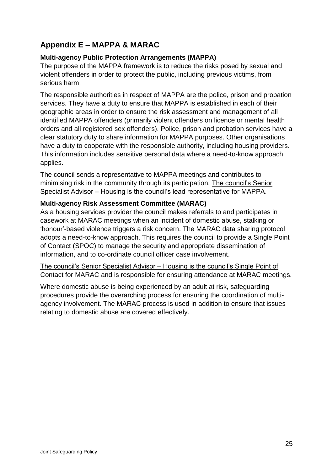# **Appendix E – MAPPA & MARAC**

#### **Multi-agency Public Protection Arrangements (MAPPA)**

The purpose of the MAPPA framework is to reduce the risks posed by sexual and violent offenders in order to protect the public, including previous victims, from serious harm.

The responsible authorities in respect of MAPPA are the police, prison and probation services. They have a duty to ensure that MAPPA is established in each of their geographic areas in order to ensure the risk assessment and management of all identified MAPPA offenders (primarily violent offenders on licence or mental health orders and all registered sex offenders). Police, prison and probation services have a clear statutory duty to share information for MAPPA purposes. Other organisations have a duty to cooperate with the responsible authority, including housing providers. This information includes sensitive personal data where a need-to-know approach applies.

The council sends a representative to MAPPA meetings and contributes to minimising risk in the community through its participation. The council's Senior Specialist Advisor – Housing is the council's lead representative for MAPPA.

#### **Multi-agency Risk Assessment Committee (MARAC)**

As a housing services provider the council makes referrals to and participates in casework at MARAC meetings when an incident of domestic abuse, stalking or 'honour'-based violence triggers a risk concern. The MARAC data sharing protocol adopts a need-to-know approach. This requires the council to provide a Single Point of Contact (SPOC) to manage the security and appropriate dissemination of information, and to co-ordinate council officer case involvement.

The council's Senior Specialist Advisor – Housing is the council's Single Point of Contact for MARAC and is responsible for ensuring attendance at MARAC meetings.

Where domestic abuse is being experienced by an adult at risk, safeguarding procedures provide the overarching process for ensuring the coordination of multiagency involvement. The MARAC process is used in addition to ensure that issues relating to domestic abuse are covered effectively.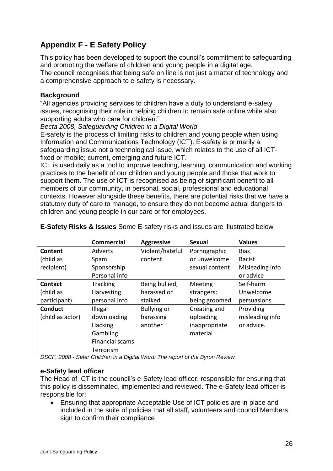# **Appendix F - E Safety Policy**

This policy has been developed to support the council's commitment to safeguarding and promoting the welfare of children and young people in a digital age. The council recognises that being safe on line is not just a matter of technology and a comprehensive approach to e-safety is necessary.

#### **Background**

"All agencies providing services to children have a duty to understand e-safety issues, recognising their role in helping children to remain safe online while also supporting adults who care for children."

*Becta 2008, Safeguarding Children in a Digital World* 

E-safety is the process of limiting risks to children and young people when using Information and Communications Technology (ICT). E-safety is primarily a safeguarding issue not a technological issue, which relates to the use of all ICTfixed or mobile; current, emerging and future ICT.

ICT is used daily as a tool to improve teaching, learning, communication and working practices to the benefit of our children and young people and those that work to support them. The use of ICT is recognised as being of significant benefit to all members of our community, in personal, social, professional and educational contexts. However alongside these benefits, there are potential risks that we have a statutory duty of care to manage, to ensure they do not become actual dangers to children and young people in our care or for employees.

|                  | <b>Commercial</b> | <b>Aggressive</b>  | <b>Sexual</b>  | <b>Values</b>   |
|------------------|-------------------|--------------------|----------------|-----------------|
| Content          | Adverts           | Violent/hateful    | Pornographic   | <b>Bias</b>     |
| (child as        | Spam              | content            | or unwelcome   | Racist          |
| recipient)       | Sponsorship       |                    | sexual content | Misleading info |
|                  | Personal info     |                    |                | or advice       |
| Contact          | <b>Tracking</b>   | Being bullied,     | Meeting        | Self-harm       |
| (child as        | Harvesting        | harassed or        | strangers;     | Unwelcome       |
| participant)     | personal info     | stalked            | being groomed  | persuasions     |
| <b>Conduct</b>   | Illegal           | <b>Bullying or</b> | Creating and   | Providing       |
| (child as actor) | downloading       | harassing          | uploading      | misleading info |
|                  | <b>Hacking</b>    | another            | inappropriate  | or advice.      |
|                  | Gambling          |                    | material       |                 |
|                  | Financial scams   |                    |                |                 |
|                  | Terrorism         |                    |                |                 |

**E-Safety Risks & Issues** Some E-safety risks and issues are illustrated below

*DSCF, 2008 - Safer Children in a Digital Word: The report of the Byron Review*

#### **e-Safety lead officer**

The Head of ICT is the council's e-Safety lead officer, responsible for ensuring that this policy is disseminated, implemented and reviewed. The e-Safety lead officer is responsible for:

 Ensuring that appropriate Acceptable Use of ICT policies are in place and included in the suite of policies that all staff, volunteers and council Members sign to confirm their compliance